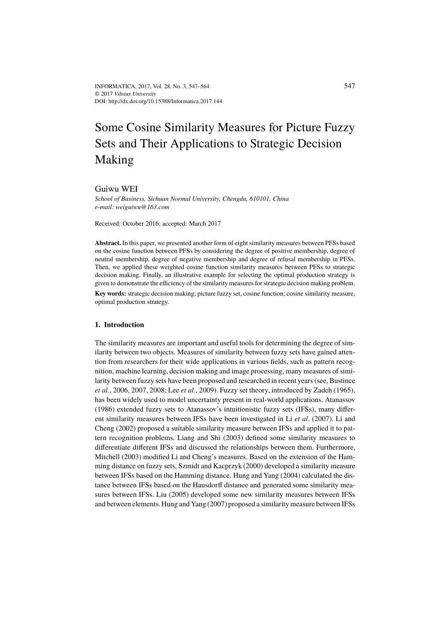# Some Cosine Similarity Measures for Picture Fuzzy Sets and Their Applications to Strategic Decision Making

Guiwu WEI

*School of Business, Sichuan Normal University, Chengdu, 610101, China e-mail: weiguiwu@163.com*

Received: October 2016; accepted: March 2017

**Abstract.** In this paper, we presented another form of eight similarity measures between PFSs based on the cosine function between PFSs by considering the degree of positive membership, degree of neutral membership, degree of negative membership and degree of refusal membership in PFSs. Then, we applied these weighted cosine function similarity measures between PFSs to strategic decision making. Finally, an illustrative example for selecting the optimal production strategy is given to demonstrate the efficiency of the similarity measures for strategic decision making problem.

**Key words:** strategic decision making; picture fuzzy set, cosine function; cosine similarity measure, optimal production strategy.

## **1. Introduction**

The similarity measures are important and useful tools for determining the degree of similarity between two objects. Measures of similarity between fuzzy sets have gained attention from researchers for their wide applications in various fields, such as pattern recognition, machine learning, decision making and image processing, many measures of similarity between fuzzy sets have been proposed and researched in recent years (see, Bustince *et al*., 2006, 2007, 2008; Lee *et al*., 2009). Fuzzy set theory, introduced by Zadeh (1965), has been widely used to model uncertainty present in real-world applications. Atanassov (1986) extended fuzzy sets to Atanassov's intuitionistic fuzzy sets (IFSs), many different similarity measures between IFSs have been investigated in Li *et al*. (2007). Li and Cheng (2002) proposed a suitable similarity measure between IFSs and applied it to pattern recognition problems. Liang and Shi (2003) defined some similarity measures to differentiate different IFSs and discussed the relationships between them. Furthermore, Mitchell (2003) modified Li and Cheng's measures. Based on the extension of the Hamming distance on fuzzy sets, Szmidt and Kacprzyk (2000) developed a similarity measure between IFSs based on the Hamming distance. Hung and Yang (2004) calculated the distance between IFSs based on the Hausdorff distance and generated some similarity measures between IFSs. Liu (2005) developed some new similarity measures between IFSs and between elements. Hung and Yang (2007) proposed a similarity measure between IFSs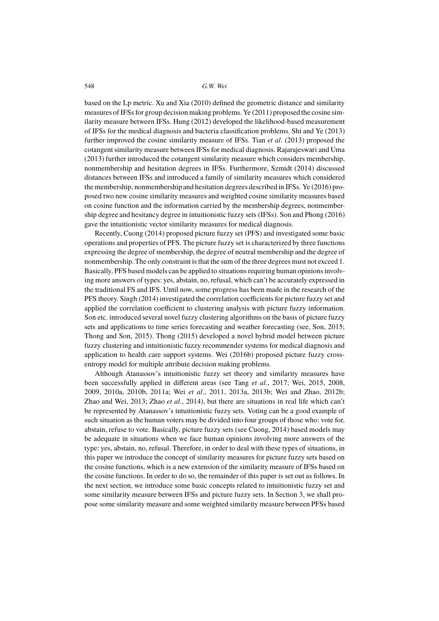based on the Lp metric. Xu and Xia (2010) defined the geometric distance and similarity measures of IFSs for group decision making problems. Ye (2011) proposed the cosine similarity measure between IFSs. Hung (2012) developed the likelihood-based measurement of IFSs for the medical diagnosis and bacteria classification problems. Shi and Ye (2013) further improved the cosine similarity measure of IFSs. Tian *et al*. (2013) proposed the cotangent similarity measure between IFSs for medical diagnosis. Rajarajeswari and Uma (2013) further introduced the cotangent similarity measure which considers membership, nonmembership and hesitation degrees in IFSs. Furthermore, Szmidt (2014) discussed distances between IFSs and introduced a family of similarity measures which considered the membership, nonmembership and hesitation degrees described in IFSs. Ye (2016) proposed two new cosine similarity measures and weighted cosine similarity measures based on cosine function and the information carried by the membership degrees, nonmembership degree and hesitancy degree in intuitionistic fuzzy sets (IFSs). Son and Phong (2016) gave the intuitionistic vector similarity measures for medical diagnosis.

Recently, Cuong (2014) proposed picture fuzzy set (PFS) and investigated some basic operations and properties of PFS. The picture fuzzy set is characterized by three functions expressing the degree of membership, the degree of neutral membership and the degree of nonmembership. The only constraint is that the sum of the three degrees must not exceed 1. Basically, PFS based models can be applied to situations requiring human opinions involving more answers of types: yes, abstain, no, refusal, which can't be accurately expressed in the traditional FS and IFS. Until now, some progress has been made in the research of the PFS theory. Singh (2014) investigated the correlation coefficients for picture fuzzy set and applied the correlation coefficient to clustering analysis with picture fuzzy information. Son etc. introduced several novel fuzzy clustering algorithms on the basis of picture fuzzy sets and applications to time series forecasting and weather forecasting (see, Son, 2015; Thong and Son, 2015). Thong (2015) developed a novel hybrid model between picture fuzzy clustering and intuitionistic fuzzy recommender systems for medical diagnosis and application to health care support systems. Wei (2016b) proposed picture fuzzy crossentropy model for multiple attribute decision making problems.

Although Atanassov's intuitionistic fuzzy set theory and similarity measures have been successfully applied in different areas (see Tang *et al*., 2017; Wei, 2015, 2008, 2009, 2010a, 2010b, 2011a; Wei *et al*., 2011, 2013a, 2013b; Wei and Zhao, 2012b; Zhao and Wei, 2013; Zhao *et al*., 2014), but there are situations in real life which can't be represented by Atanassov's intuitionistic fuzzy sets. Voting can be a good example of such situation as the human voters may be divided into four groups of those who: vote for, abstain, refuse to vote. Basically, picture fuzzy sets (see Cuong, 2014) based models may be adequate in situations when we face human opinions involving more answers of the type: yes, abstain, no, refusal. Therefore, in order to deal with these types of situations, in this paper we introduce the concept of similarity measures for picture fuzzy sets based on the cosine functions, which is a new extension of the similarity measure of IFSs based on the cosine functions. In order to do so, the remainder of this paper is set out as follows. In the next section, we introduce some basic concepts related to intuitionistic fuzzy set and some similarity measure between IFSs and picture fuzzy sets. In Section 3, we shall propose some similarity measure and some weighted similarity measure between PFSs based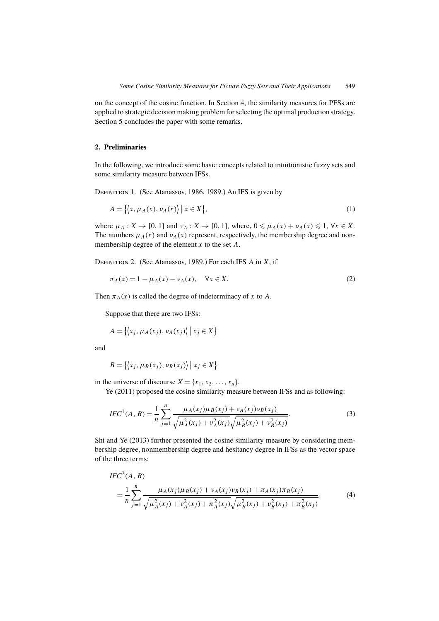on the concept of the cosine function. In Section 4, the similarity measures for PFSs are applied to strategic decision making problem for selecting the optimal production strategy. Section 5 concludes the paper with some remarks.

## **2. Preliminaries**

In the following, we introduce some basic concepts related to intuitionistic fuzzy sets and some similarity measure between IFSs.

Definition 1. (See Atanassov, 1986, 1989.) An IFS is given by

$$
A = \{ \langle x, \mu_A(x), \nu_A(x) \rangle \mid x \in X \},\tag{1}
$$

where  $\mu_A: X \to [0, 1]$  and  $\nu_A: X \to [0, 1]$ , where,  $0 \leq \mu_A(x) + \nu_A(x) \leq 1$ ,  $\forall x \in X$ . The numbers  $\mu_A(x)$  and  $\nu_A(x)$  represent, respectively, the membership degree and nonmembership degree of the element  $x$  to the set  $A$ .

DEFINITION 2. (See Atanassov, 1989.) For each IFS  $A$  in  $X$ , if

$$
\pi_A(x) = 1 - \mu_A(x) - \nu_A(x), \quad \forall x \in X.
$$
 (2)

Then  $\pi_A(x)$  is called the degree of indeterminacy of x to A.

Suppose that there are two IFSs:

$$
A = \{ \langle x_j, \mu_A(x_j), \nu_A(x_j) \rangle \mid x_j \in X \}
$$

and

$$
B = \{ \langle x_j, \mu_B(x_j), \nu_B(x_j) \rangle \mid x_j \in X \}
$$

in the universe of discourse  $X = \{x_1, x_2, \ldots, x_n\}.$ 

Ye (2011) proposed the cosine similarity measure between IFSs and as following:

$$
IFC^{1}(A, B) = \frac{1}{n} \sum_{j=1}^{n} \frac{\mu_{A}(x_{j}) \mu_{B}(x_{j}) + \nu_{A}(x_{j}) \nu_{B}(x_{j})}{\sqrt{\mu_{A}^{2}(x_{j}) + \nu_{A}^{2}(x_{j})} \sqrt{\mu_{B}^{2}(x_{j}) + \nu_{B}^{2}(x_{j})}}.
$$
(3)

Shi and Ye (2013) further presented the cosine similarity measure by considering membership degree, nonmembership degree and hesitancy degree in IFSs as the vector space of the three terms:

$$
IFC2(A, B)
$$
  
= 
$$
\frac{1}{n} \sum_{j=1}^{n} \frac{\mu_A(x_j)\mu_B(x_j) + \nu_A(x_j)\nu_B(x_j) + \pi_A(x_j)\pi_B(x_j)}{\sqrt{\mu_A^2(x_j) + \nu_A^2(x_j) + \pi_A^2(x_j)}\sqrt{\mu_B^2(x_j) + \nu_B^2(x_j) + \pi_B^2(x_j)}}.
$$
 (4)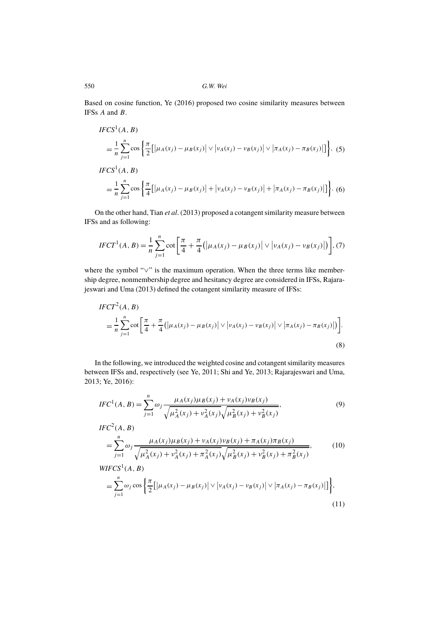Based on cosine function, Ye (2016) proposed two cosine similarity measures between IFSs A and B.

$$
IFCS1(A, B)
$$
  
=  $\frac{1}{n} \sum_{j=1}^{n} \cos \left\{ \frac{\pi}{2} [\mu_A(x_j) - \mu_B(x_j)] \vee |\nu_A(x_j) - \nu_B(x_j)|] \vee |\pi_A(x_j) - \pi_B(x_j)| \right\}, (5)$   

$$
IFCS1(A, B)
$$
  
=  $\frac{1}{n} \sum_{j=1}^{n} \cos \left\{ \frac{\pi}{4} [\mu_A(x_j) - \mu_B(x_j)] + |\nu_A(x_j) - \nu_B(x_j)|] + |\pi_A(x_j) - \pi_B(x_j)| \right\}.$  (6)

On the other hand, Tian *et al*. (2013) proposed a cotangent similarity measure between IFSs and as following:

$$
IFCT^{1}(A, B) = \frac{1}{n} \sum_{j=1}^{n} \cot \left[ \frac{\pi}{4} + \frac{\pi}{4} (|\mu_{A}(x_{j}) - \mu_{B}(x_{j})| \vee |\nu_{A}(x_{j}) - \nu_{B}(x_{j})|) \right], (7)
$$

where the symbol "∨" is the maximum operation. When the three terms like membership degree, nonmembership degree and hesitancy degree are considered in IFSs, Rajarajeswari and Uma (2013) defined the cotangent similarity measure of IFSs:

$$
IFCT2(A, B)
$$
  
=  $\frac{1}{n} \sum_{j=1}^{n} \cot \left[ \frac{\pi}{4} + \frac{\pi}{4} (|\mu_A(x_j) - \mu_B(x_j)| \vee |\nu_A(x_j) - \nu_B(x_j)| \vee |\pi_A(x_j) - \pi_B(x_j)|) \right].$  (8)

In the following, we introduced the weighted cosine and cotangent similarity measures between IFSs and, respectively (see Ye, 2011; Shi and Ye, 2013; Rajarajeswari and Uma, 2013; Ye, 2016):

$$
IFC^{1}(A, B) = \sum_{j=1}^{n} \omega_{j} \frac{\mu_{A}(x_{j})\mu_{B}(x_{j}) + \nu_{A}(x_{j})\nu_{B}(x_{j})}{\sqrt{\mu_{A}^{2}(x_{j}) + \nu_{A}^{2}(x_{j})}\sqrt{\mu_{B}^{2}(x_{j}) + \nu_{B}^{2}(x_{j})}},
$$
\n(9)

$$
IFC2(A, B)
$$
  
= 
$$
\sum_{j=1}^{n} \omega_j \frac{\mu_A(x_j)\mu_B(x_j) + \nu_A(x_j)\nu_B(x_j) + \pi_A(x_j)\pi_B(x_j)}{\sqrt{\mu_A^2(x_j) + \nu_A^2(x_j) + \pi_A^2(x_j)\sqrt{\mu_B^2(x_j) + \nu_B^2(x_j) + \pi_B^2(x_j)}}.
$$
 (10)

$$
WIFCS1(A, B)
$$
  
=
$$
\sum_{j=1}^{n} \omega_j \cos \left\{ \frac{\pi}{2} \left[ \left| \mu_A(x_j) - \mu_B(x_j) \right| \vee \left| \nu_A(x_j) - \nu_B(x_j) \right| \vee \left| \pi_A(x_j) - \pi_B(x_j) \right| \right] \right\},
$$
(11)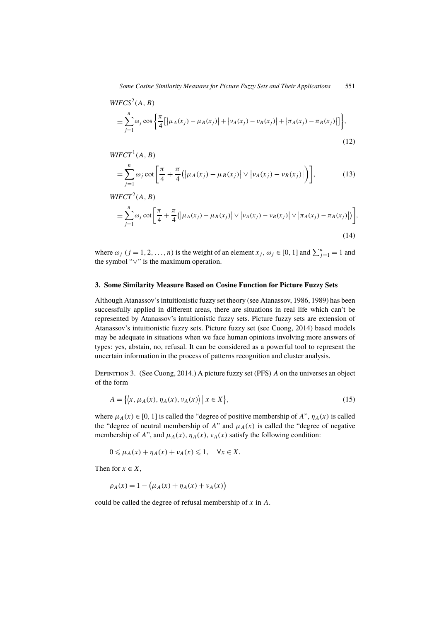*Some Cosine Similarity Measures for Picture Fuzzy Sets and Their Applications* 551

$$
WIFCS2(A, B)
$$
  
=
$$
\sum_{j=1}^{n} \omega_j \cos \left\{ \frac{\pi}{4} [\mu_A(x_j) - \mu_B(x_j)] + |\nu_A(x_j) - \nu_B(x_j)| + |\pi_A(x_j) - \pi_B(x_j)|] \right\},
$$
(12)

$$
WIFT^1(A, B)
$$

$$
= \sum_{j=1}^{n} \omega_j \cot \left[ \frac{\pi}{4} + \frac{\pi}{4} (|\mu_A(x_j) - \mu_B(x_j)| \vee |\nu_A(x_j) - \nu_B(x_j)|) \right],
$$
 (13)

$$
WIFCT2(A, B)
$$
  
=
$$
\sum_{j=1}^{n} \omega_j \cot \left[ \frac{\pi}{4} + \frac{\pi}{4} (|\mu_A(x_j) - \mu_B(x_j)| \vee |\nu_A(x_j) - \nu_B(x_j)| \vee |\pi_A(x_j) - \pi_B(x_j)|) \right],
$$
(14)

where  $\omega_j$  ( $j = 1, 2, ..., n$ ) is the weight of an element  $x_j, \omega_j \in [0, 1]$  and  $\sum_{j=1}^n = 1$  and the symbol "∨" is the maximum operation.

# **3. Some Similarity Measure Based on Cosine Function for Picture Fuzzy Sets**

Although Atanassov's intuitionistic fuzzy set theory (see Atanassov, 1986, 1989) has been successfully applied in different areas, there are situations in real life which can't be represented by Atanassov's intuitionistic fuzzy sets. Picture fuzzy sets are extension of Atanassov's intuitionistic fuzzy sets. Picture fuzzy set (see Cuong, 2014) based models may be adequate in situations when we face human opinions involving more answers of types: yes, abstain, no, refusal. It can be considered as a powerful tool to represent the uncertain information in the process of patterns recognition and cluster analysis.

DEFINITION 3. (See Cuong, 2014.) A picture fuzzy set (PFS) A on the universes an object of the form

$$
A = \{ \langle x, \mu_A(x), \eta_A(x), \nu_A(x) \rangle \mid x \in X \},\tag{15}
$$

where  $\mu_A(x) \in [0, 1]$  is called the "degree of positive membership of A",  $\eta_A(x)$  is called the "degree of neutral membership of A" and  $\mu_A(x)$  is called the "degree of negative" membership of A", and  $\mu_A(x)$ ,  $\eta_A(x)$ ,  $\nu_A(x)$  satisfy the following condition:

$$
0 \leq \mu_A(x) + \eta_A(x) + \nu_A(x) \leq 1, \quad \forall x \in X.
$$

Then for  $x \in X$ ,

$$
\rho_A(x) = 1 - (\mu_A(x) + \eta_A(x) + \nu_A(x))
$$

could be called the degree of refusal membership of x in A.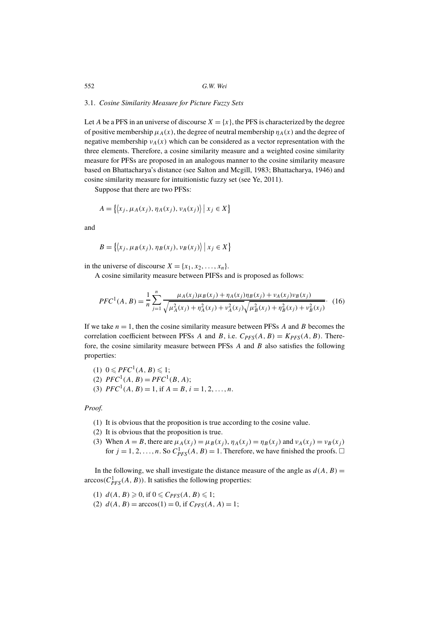### 3.1. *Cosine Similarity Measure for Picture Fuzzy Sets*

Let A be a PFS in an universe of discourse  $X = \{x\}$ , the PFS is characterized by the degree of positive membership  $\mu_A(x)$ , the degree of neutral membership  $\eta_A(x)$  and the degree of negative membership  $v_A(x)$  which can be considered as a vector representation with the three elements. Therefore, a cosine similarity measure and a weighted cosine similarity measure for PFSs are proposed in an analogous manner to the cosine similarity measure based on Bhattacharya's distance (see Salton and Mcgill, 1983; Bhattacharya, 1946) and cosine similarity measure for intuitionistic fuzzy set (see Ye, 2011).

Suppose that there are two PFSs:

$$
A = \{ \langle x_j, \mu_A(x_j), \eta_A(x_j), \nu_A(x_j) \rangle \mid x_j \in X \}
$$

and

$$
B = \{ \langle x_j, \mu_B(x_j), \eta_B(x_j), \nu_B(x_j) \rangle \mid x_j \in X \}
$$

in the universe of discourse  $X = \{x_1, x_2, \ldots, x_n\}.$ 

A cosine similarity measure between PIFSs and is proposed as follows:

$$
PFC^{1}(A, B) = \frac{1}{n} \sum_{j=1}^{n} \frac{\mu_{A}(x_{j})\mu_{B}(x_{j}) + \eta_{A}(x_{j})\eta_{B}(x_{j}) + \nu_{A}(x_{j})\nu_{B}(x_{j})}{\sqrt{\mu_{A}^{2}(x_{j}) + \eta_{A}^{2}(x_{j}) + \nu_{A}^{2}(x_{j})}\sqrt{\mu_{B}^{2}(x_{j}) + \eta_{B}^{2}(x_{j}) + \nu_{B}^{2}(x_{j})}}.
$$
(16)

If we take  $n = 1$ , then the cosine similarity measure between PFSs A and B becomes the correlation coefficient between PFSs A and B, i.e.  $C_{PFS}(A, B) = K_{PFS}(A, B)$ . Therefore, the cosine similarity measure between PFSs  $A$  and  $B$  also satisfies the following properties:

(1) 
$$
0 \le PFC^1(A, B) \le 1
$$
;  
\n(2)  $PFC^1(A, B) = PFC^1(B, A)$ ;  
\n(3)  $PFC^1(A, B) = 1$ , if  $A = B$ ,  $i = 1, 2, ..., n$ .

*Proof.*

- (1) It is obvious that the proposition is true according to the cosine value.
- (2) It is obvious that the proposition is true.
- (3) When  $A = B$ , there are  $\mu_A(x_j) = \mu_B(x_j)$ ,  $\eta_A(x_j) = \eta_B(x_j)$  and  $\nu_A(x_j) = \nu_B(x_j)$ for  $j = 1, 2, ..., n$ . So  $C_{PFS}^1(A, B) = 1$ . Therefore, we have finished the proofs.  $\square$

In the following, we shall investigate the distance measure of the angle as  $d(A, B) =$  $\arccos(C_{PFS}^1(A, B))$ . It satisfies the following properties:

- (1)  $d(A, B) \geqslant 0$ , if  $0 \leqslant C_{PFS}(A, B) \leqslant 1$ ;
- (2)  $d(A, B) = \arccos(1) = 0$ , if  $C_{PFS}(A, A) = 1$ ;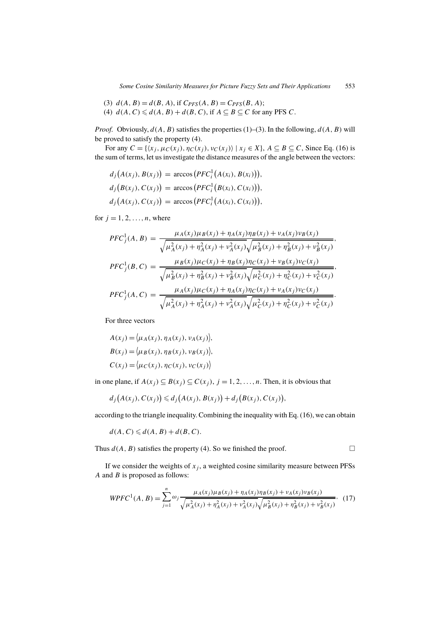- (3)  $d(A, B) = d(B, A)$ , if  $C_{PFS}(A, B) = C_{PFS}(B, A)$ ;
- (4)  $d(A, C) \le d(A, B) + d(B, C)$ , if  $A \subseteq B \subseteq C$  for any PFS C.

*Proof.* Obviously,  $d(A, B)$  satisfies the properties (1)–(3). In the following,  $d(A, B)$  will be proved to satisfy the property (4).

For any  $C = \{ \langle x_i, \mu_C(x_i), \eta_C(x_i), \nu_C(x_i) \rangle \mid x_i \in X \}, A \subseteq B \subseteq C$ , Since Eq. (16) is the sum of terms, let us investigate the distance measures of the angle between the vectors:

$$
d_j(A(x_j), B(x_j)) = \arccos(PFC_i^1(A(x_i), B(x_i))),
$$
  
\n
$$
d_j(B(x_j), C(x_j)) = \arccos(PFC_i^1(B(x_i), C(x_i))),
$$
  
\n
$$
d_j(A(x_j), C(x_j)) = \arccos(PFC_i^1(A(x_i), C(x_i))),
$$

for  $j = 1, 2, \ldots, n$ , where

$$
PFC_j^1(A, B) = \frac{\mu_A(x_j)\mu_B(x_j) + \eta_A(x_j)\eta_B(x_j) + \nu_A(x_j)\nu_B(x_j)}{\sqrt{\mu_A^2(x_j) + \eta_A^2(x_j) + \nu_A^2(x_j)}\sqrt{\mu_B^2(x_j) + \eta_B^2(x_j) + \nu_B^2(x_j)}}
$$
\n
$$
PFC_j^1(B, C) = \frac{\mu_B(x_j)\mu_C(x_j) + \eta_B(x_j)\eta_C(x_j) + \nu_B(x_j)\nu_C(x_j)}{\sqrt{\mu_B^2(x_j) + \eta_B^2(x_j) + \nu_B^2(x_j)}\sqrt{\mu_C^2(x_j) + \eta_C^2(x_j) + \nu_C^2(x_j)}}
$$
\n
$$
PFC_j^1(A, C) = \frac{\mu_A(x_j)\mu_C(x_j) + \eta_A(x_j)\eta_C(x_j) + \nu_A(x_j)\nu_C(x_j)}{\sqrt{\mu_A^2(x_j) + \eta_A^2(x_j) + \nu_A^2(x_j)}\sqrt{\mu_C^2(x_j) + \eta_C^2(x_j) + \nu_C^2(x_j)}}
$$

For three vectors

$$
A(x_j) = \langle \mu_A(x_j), \eta_A(x_j), \nu_A(x_j) \rangle,
$$
  
\n
$$
B(x_j) = \langle \mu_B(x_j), \eta_B(x_j), \nu_B(x_j) \rangle,
$$
  
\n
$$
C(x_j) = \langle \mu_C(x_j), \eta_C(x_j), \nu_C(x_j) \rangle
$$

in one plane, if  $A(x_j) \subseteq B(x_j) \subseteq C(x_j)$ ,  $j = 1, 2, ..., n$ . Then, it is obvious that

$$
d_j(A(x_j), C(x_j)) \leq d_j(A(x_j), B(x_j)) + d_j(B(x_j), C(x_j)),
$$

according to the triangle inequality. Combining the inequality with Eq. (16), we can obtain

$$
d(A, C) \leq d(A, B) + d(B, C).
$$

Thus  $d(A, B)$  satisfies the property (4). So we finished the proof.  $\square$ 

If we consider the weights of  $x_i$ , a weighted cosine similarity measure between PFSs  $A$  and  $B$  is proposed as follows:

$$
WPFC^{1}(A, B) = \sum_{j=1}^{n} \omega_{j} \frac{\mu_{A}(x_{j})\mu_{B}(x_{j}) + \eta_{A}(x_{j})\eta_{B}(x_{j}) + \nu_{A}(x_{j})\nu_{B}(x_{j})}{\sqrt{\mu_{A}^{2}(x_{j}) + \eta_{A}^{2}(x_{j}) + \nu_{A}^{2}(x_{j})}\sqrt{\mu_{B}^{2}(x_{j}) + \eta_{B}^{2}(x_{j}) + \nu_{B}^{2}(x_{j})}},
$$
(17)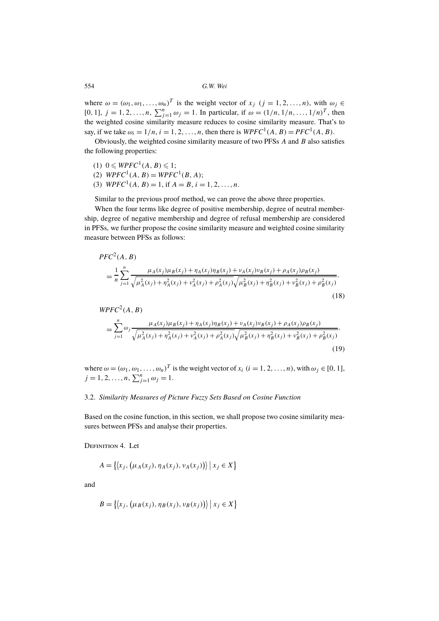where  $\omega = (\omega_1, \omega_1, \dots, \omega_n)^T$  is the weight vector of  $x_j$   $(j = 1, 2, \dots, n)$ , with  $\omega_j \in$ [0, 1],  $j = 1, 2, ..., n$ ,  $\sum_{j=1}^{n} \omega_j = 1$ . In particular, if  $\omega = (1/n, 1/n, ..., 1/n)^T$ , then the weighted cosine similarity measure reduces to cosine similarity measure. That's to say, if we take  $\omega_i = 1/n$ ,  $i = 1, 2, ..., n$ , then there is  $W P F C^1(A, B) = P F C^1(A, B)$ .

Obviously, the weighted cosine similarity measure of two PFSs  $A$  and  $B$  also satisfies the following properties:

- (1)  $0 \leq W P F C^1(A, B) \leq 1;$
- (2)  $W P F C^{1}(A, B) = W P F C^{1}(B, A);$
- (3)  $W P F C^{1}(A, B) = 1$ , if  $A = B$ ,  $i = 1, 2, ..., n$ .

Similar to the previous proof method, we can prove the above three properties.

When the four terms like degree of positive membership, degree of neutral membership, degree of negative membership and degree of refusal membership are considered in PFSs, we further propose the cosine similarity measure and weighted cosine similarity measure between PFSs as follows:

$$
PFC^{2}(A, B)
$$
  
= 
$$
\frac{1}{n} \sum_{j=1}^{n} \frac{\mu_{A}(x_{j})\mu_{B}(x_{j}) + \eta_{A}(x_{j})\eta_{B}(x_{j}) + \nu_{A}(x_{j})\nu_{B}(x_{j}) + \rho_{A}(x_{j})\rho_{B}(x_{j})}{\sqrt{\mu_{A}^{2}(x_{j}) + \eta_{A}^{2}(x_{j}) + \nu_{A}^{2}(x_{j}) + \rho_{A}^{2}(x_{j}) + \eta_{B}^{2}(x_{j}) + \nu_{B}^{2}(x_{j}) + \rho_{B}^{2}(x_{j})}},
$$
(18)

$$
WPFC^{2}(A, B)
$$
  
= 
$$
\sum_{j=1}^{n} \omega_{j} \frac{\mu_{A}(x_{j})\mu_{B}(x_{j}) + \eta_{A}(x_{j})\eta_{B}(x_{j}) + \nu_{A}(x_{j})\nu_{B}(x_{j}) + \rho_{A}(x_{j})\rho_{B}(x_{j})}{\sqrt{\mu_{A}^{2}(x_{j}) + \eta_{A}^{2}(x_{j}) + \nu_{A}^{2}(x_{j}) + \rho_{A}^{2}(x_{j})}\sqrt{\mu_{B}^{2}(x_{j}) + \eta_{B}^{2}(x_{j}) + \nu_{B}^{2}(x_{j}) + \rho_{B}^{2}(x_{j})}},
$$
\n(19)

where  $\omega = (\omega_1, \omega_1, \dots, \omega_n)^T$  is the weight vector of  $x_i$   $(i = 1, 2, \dots, n)$ , with  $\omega_j \in [0, 1]$ ,  $j = 1, 2, ..., n, \sum_{j=1}^{n} \omega_j = 1.$ 

## 3.2. *Similarity Measures of Picture Fuzzy Sets Based on Cosine Function*

Based on the cosine function, in this section, we shall propose two cosine similarity measures between PFSs and analyse their properties.

DEFINITION 4. Let

$$
A = \{ \langle x_j, (\mu_A(x_j), \eta_A(x_j), \nu_A(x_j)) \rangle \mid x_j \in X \}
$$

and

$$
B = \{ \langle x_j, (\mu_B(x_j), \eta_B(x_j), \nu_B(x_j)) \rangle \mid x_j \in X \}
$$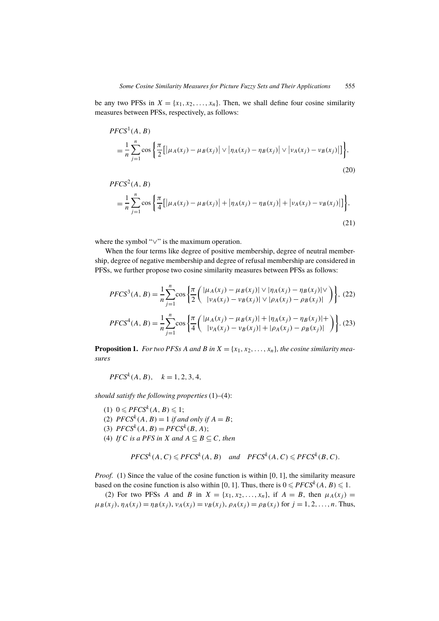be any two PFSs in  $X = \{x_1, x_2, \ldots, x_n\}$ . Then, we shall define four cosine similarity measures between PFSs, respectively, as follows:

$$
PFCS^{1}(A, B)
$$
  
=  $\frac{1}{n} \sum_{j=1}^{n} \cos \left\{ \frac{\pi}{2} [\mu_{A}(x_{j}) - \mu_{B}(x_{j})] \vee |\eta_{A}(x_{j}) - \eta_{B}(x_{j})|] \vee |\nu_{A}(x_{j}) - \nu_{B}(x_{j})| \right\},$  (20)

$$
PFCS^{2}(A, B)
$$
  
=  $\frac{1}{n} \sum_{j=1}^{n} \cos \left\{ \frac{\pi}{4} [\mu_{A}(x_{j}) - \mu_{B}(x_{j})] + |\eta_{A}(x_{j}) - \eta_{B}(x_{j})| + |\nu_{A}(x_{j}) - \nu_{B}(x_{j})|] \right\},$  (21)

where the symbol "∨" is the maximum operation.

When the four terms like degree of positive membership, degree of neutral membership, degree of negative membership and degree of refusal membership are considered in PFSs, we further propose two cosine similarity measures between PFSs as follows:

$$
PFCS^{3}(A, B) = \frac{1}{n} \sum_{j=1}^{n} \cos \left\{ \frac{\pi}{2} \left( \frac{|\mu_{A}(x_{j}) - \mu_{B}(x_{j})| \vee |\eta_{A}(x_{j}) - \eta_{B}(x_{j})| \vee}{|\nu_{A}(x_{j}) - \nu_{B}(x_{j})| \vee |\rho_{A}(x_{j}) - \rho_{B}(x_{j})|} \right) \right\}, (22)
$$
  

$$
PFCS^{4}(A, B) = \frac{1}{n} \sum_{j=1}^{n} \cos \left\{ \frac{\pi}{4} \left( \frac{|\mu_{A}(x_{j}) - \mu_{B}(x_{j})| + |\eta_{A}(x_{j}) - \eta_{B}(x_{j})| +}{|\nu_{A}(x_{j}) - \nu_{B}(x_{j})| + |\rho_{A}(x_{j}) - \rho_{B}(x_{j})|} \right) \right\}. (23)
$$

**Proposition 1.** *For two PFSs A and B in*  $X = \{x_1, x_2, \ldots, x_n\}$ *, the cosine similarity measures*

$$
PFCS^{k}(A, B), \quad k = 1, 2, 3, 4,
$$

*should satisfy the following properties* (1)–(4):

(1)  $0 \leqslant PFCS^k(A, B) \leqslant 1;$ (2)  $PFCS^k(A, B) = 1$  *if and only if*  $A = B$ ; (3)  $PFCS^{k}(A, B) = PFCS^{k}(B, A);$ (4) *If* C *is a PFS in* X *and*  $A \subseteq B \subseteq C$ *, then* 

$$
PFCS^k(A, C) \leq PFCS^k(A, B) \quad and \quad PFCS^k(A, C) \leq PFCS^k(B, C).
$$

*Proof.* (1) Since the value of the cosine function is within [0, 1], the similarity measure based on the cosine function is also within [0, 1]. Thus, there is  $0 \leqslant PFCS^{k}(A, B) \leqslant 1$ .

(2) For two PFSs A and B in  $X = \{x_1, x_2, \ldots, x_n\}$ , if  $A = B$ , then  $\mu_A(x_i) =$  $\mu_B(x_i)$ ,  $\eta_A(x_i) = \eta_B(x_i)$ ,  $\nu_A(x_i) = \nu_B(x_i)$ ,  $\rho_A(x_i) = \rho_B(x_i)$  for  $i = 1, 2, ..., n$ . Thus,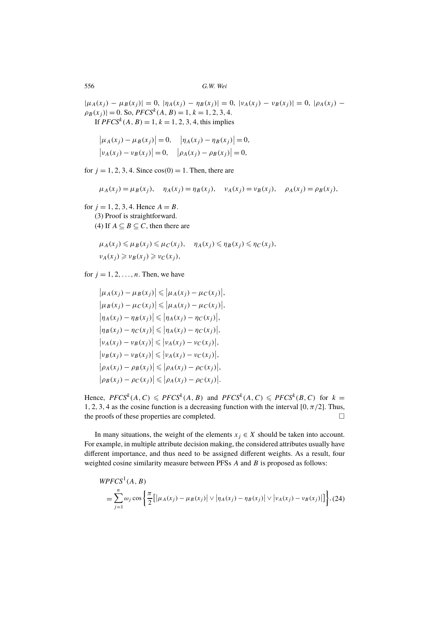$|\mu_A(x_j) - \mu_B(x_j)| = 0$ ,  $|\eta_A(x_j) - \eta_B(x_j)| = 0$ ,  $|\nu_A(x_j) - \nu_B(x_j)| = 0$ ,  $|\rho_A(x_j) - \mu_B(x_j)| = 0$  $\rho_B(x_j)$  = 0. So, *PFCS<sup>k</sup>* (*A*, *B*) = 1, *k* = 1, 2, 3, 4. If  $PFCS^{k}(A, B) = 1, k = 1, 2, 3, 4$ , this implies

$$
\begin{aligned} \left| \mu_A(x_j) - \mu_B(x_j) \right| &= 0, \quad \left| \eta_A(x_j) - \eta_B(x_j) \right| = 0, \\ \left| \nu_A(x_j) - \nu_B(x_j) \right| &= 0, \quad \left| \rho_A(x_j) - \rho_B(x_j) \right| = 0, \end{aligned}
$$

for  $j = 1, 2, 3, 4$ . Since  $cos(0) = 1$ . Then, there are

$$
\mu_A(x_j) = \mu_B(x_j), \quad \eta_A(x_j) = \eta_B(x_j), \quad \nu_A(x_j) = \nu_B(x_j), \quad \rho_A(x_j) = \rho_B(x_j),
$$

for  $j = 1, 2, 3, 4$ . Hence  $A = B$ . (3) Proof is straightforward. (4) If  $A \subseteq B \subseteq C$ , then there are

$$
\mu_A(x_j) \leq \mu_B(x_j) \leq \mu_C(x_j), \quad \eta_A(x_j) \leq \eta_B(x_j) \leq \eta_C(x_j),
$$
  

$$
\nu_A(x_j) \geq \nu_B(x_j) \geq \nu_C(x_j),
$$

for  $j = 1, 2, \ldots, n$ . Then, we have

$$
\left|\mu_A(x_j) - \mu_B(x_j)\right| \leq \left|\mu_A(x_j) - \mu_C(x_j)\right|,
$$
  
\n
$$
\left|\mu_B(x_j) - \mu_C(x_j)\right| \leq \left|\mu_A(x_j) - \mu_C(x_j)\right|,
$$
  
\n
$$
\left|\eta_A(x_j) - \eta_B(x_j)\right| \leq \left|\eta_A(x_j) - \eta_C(x_j)\right|,
$$
  
\n
$$
\left|\eta_B(x_j) - \eta_C(x_j)\right| \leq \left|\eta_A(x_j) - \eta_C(x_j)\right|,
$$
  
\n
$$
\left|\nu_A(x_j) - \nu_B(x_j)\right| \leq \left|\nu_A(x_j) - \nu_C(x_j)\right|,
$$
  
\n
$$
\left|\rho_A(x_j) - \rho_B(x_j)\right| \leq \left|\rho_A(x_j) - \rho_C(x_j)\right|,
$$
  
\n
$$
\left|\rho_B(x_j) - \rho_C(x_j)\right| \leq \left|\rho_A(x_j) - \rho_C(x_j)\right|.
$$

Hence,  $PFCS^k(A, C) \leqslant PFCS^k(A, B)$  and  $PFCS^k(A, C) \leqslant PFCS^k(B, C)$  for  $k =$ 1, 2, 3, 4 as the cosine function is a decreasing function with the interval [0,  $\pi/2$ ]. Thus, the proofs of these properties are completed.

In many situations, the weight of the elements  $x_j \in X$  should be taken into account. For example, in multiple attribute decision making, the considered attributes usually have different importance, and thus need to be assigned different weights. As a result, four weighted cosine similarity measure between PFSs A and B is proposed as follows:

$$
WPCS1(A, B)
$$
  
=
$$
\sum_{j=1}^{n} \omega_j \cos \left\{ \frac{\pi}{2} \left[ \left| \mu_A(x_j) - \mu_B(x_j) \right| \vee \left| \eta_A(x_j) - \eta_B(x_j) \right| \vee \left| \nu_A(x_j) - \nu_B(x_j) \right| \right] \right\}, (24)
$$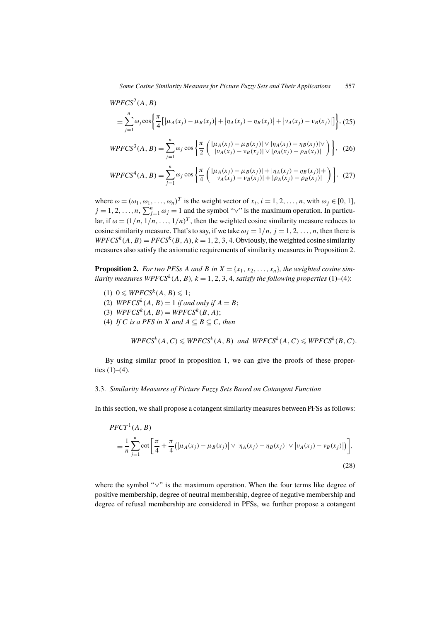$$
WPFCS^2(A, B)
$$

$$
= \sum_{j=1}^{n} \omega_j \cos \left\{ \frac{\pi}{4} [\mu_A(x_j) - \mu_B(x_j)] + |\eta_A(x_j) - \eta_B(x_j)| + |\nu_A(x_j) - \nu_B(x_j)|] \right\}, (25)
$$

$$
WPFCS^{3}(A, B) = \sum_{j=1}^{n} \omega_{j} \cos \left\{ \frac{\pi}{2} \left( \frac{|\mu_{A}(x_{j}) - \mu_{B}(x_{j})| \vee |\eta_{A}(x_{j}) - \eta_{B}(x_{j})| \vee}{|\nu_{A}(x_{j}) - \nu_{B}(x_{j})| \vee |\rho_{A}(x_{j}) - \rho_{B}(x_{j})|} \right) \right\}, \tag{26}
$$

$$
WPCS^{4}(A, B) = \sum_{j=1}^{n} \omega_{j} \cos \left\{ \frac{\pi}{4} \left( \frac{|\mu_{A}(x_{j}) - \mu_{B}(x_{j})| + |\eta_{A}(x_{j}) - \eta_{B}(x_{j})| +}{|\nu_{A}(x_{j}) - \nu_{B}(x_{j})| + |\rho_{A}(x_{j}) - \rho_{B}(x_{j})|} \right) \right\}, \tag{27}
$$

where  $\omega = (\omega_1, \omega_1, \dots, \omega_n)^T$  is the weight vector of  $x_i$ ,  $i = 1, 2, \dots, n$ , with  $\omega_j \in [0, 1]$ ,  $j = 1, 2, ..., n, \sum_{j=1}^{n} \omega_j = 1$  and the symbol " $\vee$ " is the maximum operation. In particular, if  $\omega = (1/n, 1/n, ..., 1/n)^T$ , then the weighted cosine similarity measure reduces to cosine similarity measure. That's to say, if we take  $\omega_j = 1/n$ ,  $j = 1, 2, ..., n$ , then there is  $WPFCS^{k}(A, B) = PFCS^{k}(B, A), k = 1, 2, 3, 4$ . Obviously, the weighted cosine similarity measures also satisfy the axiomatic requirements of similarity measures in Proposition 2.

**Proposition 2.** For two PFSs A and B in  $X = \{x_1, x_2, \ldots, x_n\}$ , the weighted cosine sim*ilarity measures WPFCS<sup>k</sup>*( $A, B$ ),  $k = 1, 2, 3, 4$ , *satisfy the following properties* (1)–(4):

- (1)  $0 \leq WPFCS^{k}(A, B) \leq 1;$
- (2)  $W P F C S^{k}(A, B) = 1$  *if and only if*  $A = B$ ;
- (3)  $WPFCS^{k}(A, B) = WPFCS^{k}(B, A);$
- (4) *If* C *is a PFS in* X *and*  $A \subseteq B \subseteq C$ *, then*

$$
WPFCS^{k}(A, C) \leq WPCS^{k}(A, B) \text{ and } WPFCS^{k}(A, C) \leq WPCS^{k}(B, C).
$$

By using similar proof in proposition 1, we can give the proofs of these properties  $(1)–(4)$ .

## 3.3. *Similarity Measures of Picture Fuzzy Sets Based on Cotangent Function*

In this section, we shall propose a cotangent similarity measures between PFSs as follows:

$$
PFCT^{1}(A, B)
$$
  
=  $\frac{1}{n} \sum_{j=1}^{n} \cot \left[ \frac{\pi}{4} + \frac{\pi}{4} (|\mu_{A}(x_{j}) - \mu_{B}(x_{j})| \vee |\eta_{A}(x_{j}) - \eta_{B}(x_{j})| \vee |\nu_{A}(x_{j}) - \nu_{B}(x_{j})|) \right],$  (28)

where the symbol "∨" is the maximum operation. When the four terms like degree of positive membership, degree of neutral membership, degree of negative membership and degree of refusal membership are considered in PFSs, we further propose a cotangent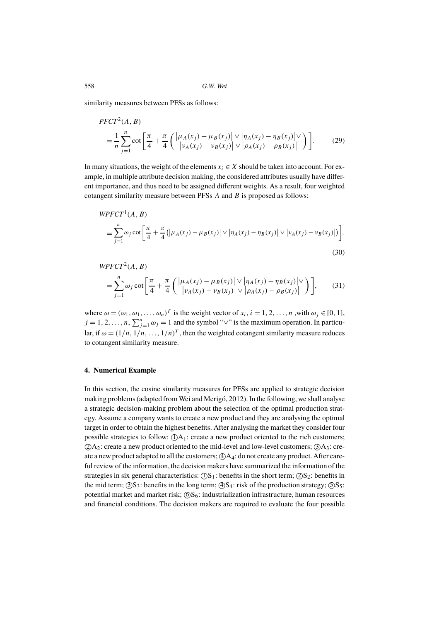similarity measures between PFSs as follows:

$$
PFCT^{2}(A, B) = \frac{1}{n} \sum_{j=1}^{n} \cot \left[ \frac{\pi}{4} + \frac{\pi}{4} \left( \frac{|\mu_{A}(x_{j}) - \mu_{B}(x_{j})|}{|\nu_{A}(x_{j}) - \nu_{B}(x_{j})|} \vee \frac{|\eta_{A}(x_{j}) - \eta_{B}(x_{j})|}{|\nu_{A}(x_{j}) - \nu_{B}(x_{j})|} \right) \right].
$$
 (29)

In many situations, the weight of the elements  $x_i \in X$  should be taken into account. For example, in multiple attribute decision making, the considered attributes usually have different importance, and thus need to be assigned different weights. As a result, four weighted cotangent similarity measure between PFSs A and B is proposed as follows:

$$
W P F C T^{1}(A, B)
$$
  
=  $\sum_{j=1}^{n} \omega_{j} \cot \left[ \frac{\pi}{4} + \frac{\pi}{4} (|\mu_{A}(x_{j}) - \mu_{B}(x_{j})| \vee |\eta_{A}(x_{j}) - \eta_{B}(x_{j})| \vee |\nu_{A}(x_{j}) - \nu_{B}(x_{j})|) \right],$  (30)

$$
WPTCT2(A, B)
$$
  
= 
$$
\sum_{j=1}^{n} \omega_j \cot \left[ \frac{\pi}{4} + \frac{\pi}{4} \left( \frac{|\mu_A(x_j) - \mu_B(x_j)| \vee |\eta_A(x_j) - \eta_B(x_j)| \vee}{|\nu_A(x_j) - \nu_B(x_j)| \vee |\rho_A(x_j) - \rho_B(x_j)|} \right) \right],
$$
 (31)

where  $\omega = (\omega_1, \omega_1, \dots, \omega_n)^T$  is the weight vector of  $x_i$ ,  $i = 1, 2, \dots, n$ , with  $\omega_j \in [0, 1]$ ,  $j = 1, 2, ..., n, \sum_{j=1}^{n} \omega_j = 1$  and the symbol " $\vee$ " is the maximum operation. In particular, if  $\omega = (1/n, 1/n, ..., 1/n)^T$ , then the weighted cotangent similarity measure reduces to cotangent similarity measure.

## **4. Numerical Example**

In this section, the cosine similarity measures for PFSs are applied to strategic decision making problems (adapted from Wei and Merigó, 2012). In the following, we shall analyse a strategic decision-making problem about the selection of the optimal production strategy. Assume a company wants to create a new product and they are analysing the optimal target in order to obtain the highest benefits. After analysing the market they consider four possible strategies to follow:  $(DA_1$ : create a new product oriented to the rich customers;  $(2)A_2$ : create a new product oriented to the mid-level and low-level customers;  $(3)A_3$ : create a new product adapted to all the customers;  $(A)A_4$ : do not create any product. After careful review of the information, the decision makers have summarized the information of the strategies in six general characteristics:  $(DS_1$ : benefits in the short term;  $(2)S_2$ : benefits in the mid term;  $\textcircled{S}S_3$ : benefits in the long term;  $\textcircled{S}S_4$ : risk of the production strategy;  $\textcircled{S}S_5$ : potential market and market risk;  $(6)S_6$ : industrialization infrastructure, human resources and financial conditions. The decision makers are required to evaluate the four possible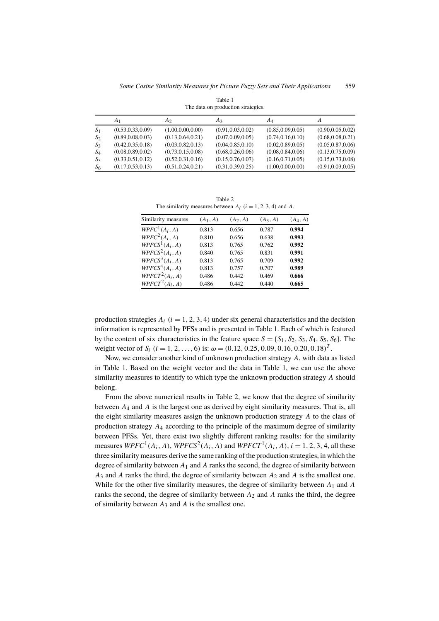|       | The data on production strategies. |                    |                    |                    |                    |  |  |  |  |
|-------|------------------------------------|--------------------|--------------------|--------------------|--------------------|--|--|--|--|
|       | A <sub>1</sub>                     | A <sub>2</sub>     | A3                 | AΔ                 | A                  |  |  |  |  |
| $S_1$ | (0.53, 0.33, 0.09)                 | (1.00, 0.00, 0.00) | (0.91, 0.03, 0.02) | (0.85, 0.09, 0.05) | (0.90, 0.05, 0.02) |  |  |  |  |
| $S_2$ | (0.89, 0.08, 0.03)                 | (0.13, 0.64, 0.21) | (0.07, 0.09, 0.05) | (0.74, 0.16, 0.10) | (0.68, 0.08, 0.21) |  |  |  |  |
| $S_3$ | (0.42, 0.35, 0.18)                 | (0.03, 0.82, 0.13) | (0.04, 0.85, 0.10) | (0.02, 0.89, 0.05) | (0.05, 0.87, 0.06) |  |  |  |  |
| $S_4$ | (0.08, 0.89, 0.02)                 | (0.73, 0.15, 0.08) | (0.68, 0.26, 0.06) | (0.08, 0.84, 0.06) | (0.13, 0.75, 0.09) |  |  |  |  |
| $S_5$ | (0.33, 0.51, 0.12)                 | (0.52, 0.31, 0.16) | (0.15, 0.76, 0.07) | (0.16, 0.71, 0.05) | (0.15, 0.73, 0.08) |  |  |  |  |
| $S_6$ | (0.17, 0.53, 0.13)                 | (0.51, 0.24, 0.21) | (0.31, 0.39, 0.25) | (1.00, 0.00, 0.00) | (0.91, 0.03, 0.05) |  |  |  |  |

Table 1 The data on production strategies

Table 2 The similarity measures between  $A_i$  ( $i = 1, 2, 3, 4$ ) and A.

| Similarity measures                     | $(A_1, A)$ | $(A_2, A)$ | $(A_3, A)$ | $(A_4, A)$ |
|-----------------------------------------|------------|------------|------------|------------|
| WPFC <sup>1</sup> (A <sub>i</sub> , A)  | 0.813      | 0.656      | 0.787      | 0.994      |
| $WPFC^2(A_i, A)$                        | 0.810      | 0.656      | 0.638      | 0.993      |
| $W P F C S^1(A_i, A)$                   | 0.813      | 0.765      | 0.762      | 0.992      |
| WPFCS <sup>2</sup> (A <sub>i</sub> , A) | 0.840      | 0.765      | 0.831      | 0.991      |
| WPFCS <sup>3</sup> (A <sub>i</sub> , A) | 0.813      | 0.765      | 0.709      | 0.992      |
| $W P F C S4(Ai, A)$                     | 0.813      | 0.757      | 0.707      | 0.989      |
| $WPTCT^2(A_i, A)$                       | 0.486      | 0.442      | 0.469      | 0.666      |
| WPTCT <sup>2</sup> (A <sub>i</sub> , A) | 0.486      | 0.442      | 0.440      | 0.665      |

production strategies  $A_i$  ( $i = 1, 2, 3, 4$ ) under six general characteristics and the decision information is represented by PFSs and is presented in Table 1. Each of which is featured by the content of six characteristics in the feature space  $S = \{S_1, S_2, S_3, S_4, S_5, S_6\}$ . The weight vector of  $S_i$   $(i = 1, 2, ..., 6)$  is:  $\omega = (0.12, 0.25, 0.09, 0.16, 0.20, 0.18)^T$ .

Now, we consider another kind of unknown production strategy A, with data as listed in Table 1. Based on the weight vector and the data in Table 1, we can use the above similarity measures to identify to which type the unknown production strategy A should belong.

From the above numerical results in Table 2, we know that the degree of similarity between  $A_4$  and  $A$  is the largest one as derived by eight similarity measures. That is, all the eight similarity measures assign the unknown production strategy A to the class of production strategy  $A_4$  according to the principle of the maximum degree of similarity between PFSs. Yet, there exist two slightly different ranking results: for the similarity measures  $WPFC<sup>1</sup>(A<sub>i</sub>, A)$ ,  $WPFCS<sup>2</sup>(A<sub>i</sub>, A)$  and  $WPFCT<sup>1</sup>(A<sub>i</sub>, A)$ ,  $i = 1, 2, 3, 4$ , all these three similarity measures derive the same ranking of the production strategies, in which the degree of similarity between  $A_1$  and A ranks the second, the degree of similarity between  $A_3$  and A ranks the third, the degree of similarity between  $A_2$  and A is the smallest one. While for the other five similarity measures, the degree of similarity between  $A_1$  and A ranks the second, the degree of similarity between  $A_2$  and A ranks the third, the degree of similarity between  $A_3$  and A is the smallest one.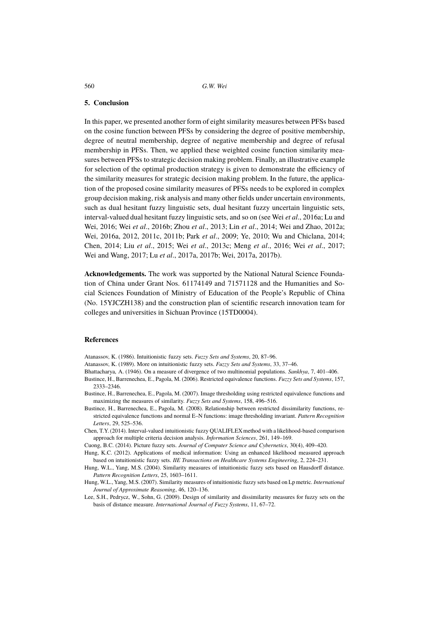#### **5. Conclusion**

In this paper, we presented another form of eight similarity measures between PFSs based on the cosine function between PFSs by considering the degree of positive membership, degree of neutral membership, degree of negative membership and degree of refusal membership in PFSs. Then, we applied these weighted cosine function similarity measures between PFSs to strategic decision making problem. Finally, an illustrative example for selection of the optimal production strategy is given to demonstrate the efficiency of the similarity measures for strategic decision making problem. In the future, the application of the proposed cosine similarity measures of PFSs needs to be explored in complex group decision making, risk analysis and many other fields under uncertain environments, such as dual hesitant fuzzy linguistic sets, dual hesitant fuzzy uncertain linguistic sets, interval-valued dual hesitant fuzzy linguistic sets, and so on (see Wei *et al*., 2016a; Lu and Wei, 2016; Wei *et al*., 2016b; Zhou *et al*., 2013; Lin *et al*., 2014; Wei and Zhao, 2012a; Wei, 2016a, 2012, 2011c, 2011b; Park *et al*., 2009; Ye, 2010; Wu and Chiclana, 2014; Chen, 2014; Liu *et al*., 2015; Wei *et al*., 2013c; Meng *et al*., 2016; Wei *et al*., 2017; Wei and Wang, 2017; Lu *et al*., 2017a, 2017b; Wei, 2017a, 2017b).

**Acknowledgements.** The work was supported by the National Natural Science Foundation of China under Grant Nos. 61174149 and 71571128 and the Humanities and Social Sciences Foundation of Ministry of Education of the People's Republic of China (No. 15YJCZH138) and the construction plan of scientific research innovation team for colleges and universities in Sichuan Province (15TD0004).

## **References**

Atanassov, K. (1986). Intuitionistic fuzzy sets. *Fuzzy Sets and Systems*, 20, 87–96.

Atanassov, K. (1989). More on intuitionistic fuzzy sets. *Fuzzy Sets and Systems*, 33, 37–46.

- Bhattacharya, A. (1946). On a measure of divergence of two multinomial populations. *Sankhya*, 7, 401–406.
- Bustince, H., Barrenechea, E., Pagola, M. (2006). Restricted equivalence functions. *Fuzzy Sets and Systems*, 157, 2333–2346.
- Bustince, H., Barrenechea, E., Pagola, M. (2007). Image thresholding using restricted equivalence functions and maximizing the measures of similarity. *Fuzzy Sets and Systems*, 158, 496–516.
- Bustince, H., Barrenechea, E., Pagola, M. (2008). Relationship between restricted dissimilarity functions, restricted equivalence functions and normal E–N functions: image thresholding invariant. *Pattern Recognition Letters*, 29, 525–536.
- Chen, T.Y. (2014). Interval-valued intuitionistic fuzzy QUALIFLEX method with a likelihood-based comparison approach for multiple criteria decision analysis. *Information Sciences*, 261, 149–169.
- Cuong, B.C. (2014). Picture fuzzy sets. *Journal of Computer Science and Cybernetics*, 30(4), 409–420.
- Hung, K.C. (2012). Applications of medical information: Using an enhanced likelihood measured approach based on intuitionistic fuzzy sets. *IIE Transactions on Healthcare Systems Engineering*, 2, 224–231.
- Hung, W.L., Yang, M.S. (2004). Similarity measures of intuitionistic fuzzy sets based on Hausdorff distance. *Pattern Recognition Letters*, 25, 1603–1611.
- Hung, W.L., Yang, M.S. (2007). Similarity measures of intuitionistic fuzzy sets based on Lp metric. *International Journal of Approximate Reasoning*, 46, 120–136.
- Lee, S.H., Pedrycz, W., Sohn, G. (2009). Design of similarity and dissimilarity measures for fuzzy sets on the basis of distance measure. *International Journal of Fuzzy Systems*, 11, 67–72.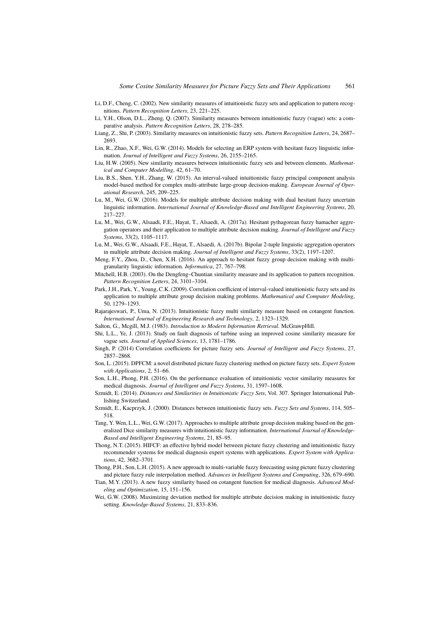- Li, D.F., Cheng, C. (2002). New similarity measures of intuitionistic fuzzy sets and application to pattern recognitions. *Pattern Recognition Letters*, 23, 221–225.
- Li, Y.H., Olson, D.L., Zheng, Q. (2007). Similarity measures between intuitionistic fuzzy (vague) sets: a comparative analysis. *Pattern Recognition Letters*, 28, 278–285.
- Liang, Z., Shi, P. (2003). Similarity measures on intuitionistic fuzzy sets. *Pattern Recognition Letters*, 24, 2687– 2693.
- Lin, R., Zhao, X.F., Wei, G.W. (2014). Models for selecting an ERP system with hesitant fuzzy linguistic information. *Journal of Intelligent and Fuzzy Systems*, 26, 2155–2165.
- Liu, H.W. (2005). New similarity measures between intuitionistic fuzzy sets and between elements. *Mathematical and Computer Modelling*, 42, 61–70.
- Liu, B.S., Shen, Y.H., Zhang, W. (2015). An interval-valued intuitionistic fuzzy principal component analysis model-based method for complex multi-attribute large-group decision-making. *European Journal of Operational Research*, 245, 209–225.
- Lu, M., Wei, G.W. (2016). Models for multiple attribute decision making with dual hesitant fuzzy uncertain linguistic information. *International Journal of Knowledge-Based and Intelligent Engineering Systems*, 20, 217–227.
- Lu, M., Wei, G.W., Alsaadi, F.E., Hayat, T., Alsaedi, A. (2017a). Hesitant pythagorean fuzzy hamacher aggregation operators and their application to multiple attribute decision making. *Journal of Intelligent and Fuzzy Systems*, 33(2), 1105–1117.
- Lu, M., Wei, G.W., Alsaadi, F.E., Hayat, T., Alsaedi, A. (2017b). Bipolar 2-tuple linguistic aggregation operators in multiple attribute decision making. *Journal of Intelligent and Fuzzy Systems*, 33(2), 1197–1207.
- Meng, F.Y., Zhou, D., Chen, X.H. (2016). An approach to hesitant fuzzy group decision making with multigranularity linguistic information. *Informatica*, 27, 767–798.
- Mitchell, H.B. (2003). On the Dengfeng–Chuntian similarity measure and its application to pattern recognition. *Pattern Recognition Letters*, 24, 3101–3104.
- Park, J.H., Park, Y., Young, C.K. (2009). Correlation coefficient of interval-valued intuitionistic fuzzy sets and its application to multiple attribute group decision making problems. *Mathematical and Computer Modeling*, 50, 1279–1293.
- Rajarajeswari, P., Uma, N. (2013). Intuitionistic fuzzy multi similarity measure based on cotangent function. *International Journal of Engineering Research and Technology*, 2, 1323–1329.
- Salton, G., Mcgill, M.J. (1983). *Introduction to Modern Information Retrieval*. McGrawpHill.
- Shi, L.L., Ye, J. (2013). Study on fault diagnosis of turbine using an improved cosine similarity measure for vague sets. *Journal of Applied Sciences*, 13, 1781–1786.
- Singh, P. (2014) Correlation coefficients for picture fuzzy sets. *Journal of Intelligent and Fuzzy Systems*, 27, 2857–2868.
- Son, L. (2015). DPFCM: a novel distributed picture fuzzy clustering method on picture fuzzy sets. *Expert System with Applications*, 2, 51–66.
- Son, L.H., Phong, P.H. (2016). On the performance evaluation of intuitionistic vector similarity measures for medical diagnosis. *Journal of Intelligent and Fuzzy Systems*, 31, 1597–1608.
- Szmidt, E. (2014). *Distances and Similarities in Intuitionistic Fuzzy Sets*, Vol. 307. Springer International Publishing Switzerland.
- Szmidt, E., Kacprzyk, J. (2000). Distances between intuitionistic fuzzy sets. *Fuzzy Sets and Systems*, 114, 505– 518.
- Tang, Y. Wen, L.L.,Wei, G.W. (2017). Approaches to multiple attribute group decision making based on the generalized Dice similarity measures with intuitionistic fuzzy information. *International Journal of Knowledge-Based and Intelligent Engineering Systems*, 21, 85–95.
- Thong, N.T. (2015). HIFCF: an effective hybrid model between picture fuzzy clustering and intuitionistic fuzzy recommender systems for medical diagnosis expert systems with applications. *Expert System with Applications*, 42, 3682–3701.
- Thong, P.H., Son, L.H. (2015). A new approach to multi-variable fuzzy forecasting using picture fuzzy clustering and picture fuzzy rule interpolation method. *Advances in Intelligent Systems and Computing*, 326, 679–690.
- Tian, M.Y. (2013). A new fuzzy similarity based on cotangent function for medical diagnosis. *Advanced Modeling and Optimization*, 15, 151–156.
- Wei, G.W. (2008). Maximizing deviation method for multiple attribute decision making in intuitionistic fuzzy setting. *Knowledge-Based Systems*, 21, 833–836.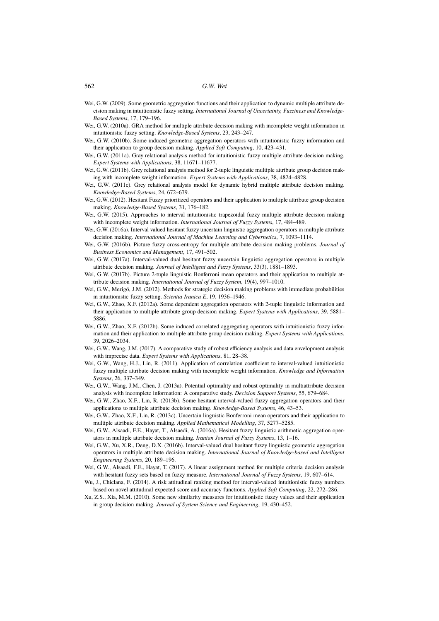- Wei, G.W. (2009). Some geometric aggregation functions and their application to dynamic multiple attribute decision making in intuitionistic fuzzy setting. *International Journal of Uncertainty, Fuzziness and Knowledge-Based Systems*, 17, 179–196.
- Wei, G.W. (2010a). GRA method for multiple attribute decision making with incomplete weight information in intuitionistic fuzzy setting. *Knowledge-Based Systems*, 23, 243–247.
- Wei, G.W. (2010b). Some induced geometric aggregation operators with intuitionistic fuzzy information and their application to group decision making. *Applied Soft Computing*, 10, 423–431.
- Wei, G.W. (2011a). Gray relational analysis method for intuitionistic fuzzy multiple attribute decision making. *Expert Systems with Applications*, 38, 11671–11677.
- Wei, G.W. (2011b). Grey relational analysis method for 2-tuple linguistic multiple attribute group decision making with incomplete weight information. *Expert Systems with Applications*, 38, 4824–4828.
- Wei, G.W. (2011c). Grey relational analysis model for dynamic hybrid multiple attribute decision making. *Knowledge-Based Systems*, 24, 672–679.
- Wei, G.W. (2012). Hesitant Fuzzy prioritized operators and their application to multiple attribute group decision making. *Knowledge-Based Systems*, 31, 176–182.
- Wei, G.W. (2015). Approaches to interval intuitionistic trapezoidal fuzzy multiple attribute decision making with incomplete weight information. *International Journal of Fuzzy Systems*, 17, 484–489.
- Wei, G.W. (2016a). Interval valued hesitant fuzzy uncertain linguistic aggregation operators in multiple attribute decision making. *International Journal of Machine Learning and Cybernetics*, 7, 1093–1114.
- Wei, G.W. (2016b). Picture fuzzy cross-entropy for multiple attribute decision making problems. *Journal of Business Economics and Management*, 17, 491–502.
- Wei, G.W. (2017a). Interval-valued dual hesitant fuzzy uncertain linguistic aggregation operators in multiple attribute decision making. *Journal of Intelligent and Fuzzy Systems*, 33(3), 1881–1893.
- Wei, G.W. (2017b). Picture 2-tuple linguistic Bonferroni mean operators and their application to multiple attribute decision making. *International Journal of Fuzzy System*, 19(4), 997–1010.
- Wei, G.W., Merigó, J.M. (2012). Methods for strategic decision making problems with immediate probabilities in intuitionistic fuzzy setting. *Scientia Iranica E*, 19, 1936–1946.
- Wei, G.W., Zhao, X.F. (2012a). Some dependent aggregation operators with 2-tuple linguistic information and their application to multiple attribute group decision making. *Expert Systems with Applications*, 39, 5881– 5886.
- Wei, G.W., Zhao, X.F. (2012b). Some induced correlated aggregating operators with intuitionistic fuzzy information and their application to multiple attribute group decision making. *Expert Systems with Applications*, 39, 2026–2034.
- Wei, G.W., Wang, J.M. (2017). A comparative study of robust efficiency analysis and data envelopment analysis with imprecise data. *Expert Systems with Applications*, 81, 28–38.
- Wei, G.W., Wang, H.J., Lin, R. (2011). Application of correlation coefficient to interval-valued intuitionistic fuzzy multiple attribute decision making with incomplete weight information. *Knowledge and Information Systems*, 26, 337–349.
- Wei, G.W., Wang, J.M., Chen, J. (2013a). Potential optimality and robust optimality in multiattribute decision analysis with incomplete information: A comparative study. *Decision Support Systems*, 55, 679–684.
- Wei, G.W., Zhao, X.F., Lin, R. (2013b). Some hesitant interval-valued fuzzy aggregation operators and their applications to multiple attribute decision making. *Knowledge-Based Systems*, 46, 43–53.
- Wei, G.W., Zhao, X.F., Lin, R. (2013c). Uncertain linguistic Bonferroni mean operators and their application to multiple attribute decision making. *Applied Mathematical Modelling*, 37, 5277–5285.
- Wei, G.W., Alsaadi, F.E., Hayat, T., Alsaedi, A. (2016a). Hesitant fuzzy linguistic arithmetic aggregation operators in multiple attribute decision making. *Iranian Journal of Fuzzy Systems*, 13, 1–16.
- Wei, G.W., Xu, X.R., Deng, D.X. (2016b). Interval-valued dual hesitant fuzzy linguistic geometric aggregation operators in multiple attribute decision making. *International Journal of Knowledge-based and Intelligent Engineering Systems*, 20, 189–196.
- Wei, G.W., Alsaadi, F.E., Hayat, T. (2017). A linear assignment method for multiple criteria decision analysis with hesitant fuzzy sets based on fuzzy measure. *International Journal of Fuzzy Systems*, 19, 607–614.
- Wu, J., Chiclana, F. (2014). A risk attitudinal ranking method for interval-valued intuitionistic fuzzy numbers based on novel attitudinal expected score and accuracy functions. *Applied Soft Computing*, 22, 272–286.
- Xu, Z.S., Xia, M.M. (2010). Some new similarity measures for intuitionistic fuzzy values and their application in group decision making. *Journal of System Science and Engineering*, 19, 430–452.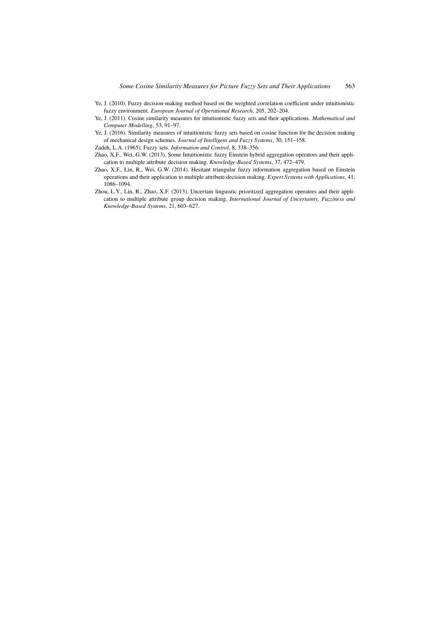- Ye, J. (2010). Fuzzy decision-making method based on the weighted correlation coefficient under intuitionistic fuzzy environment. *European Journal of Operational Research*, 205, 202–204.
- Ye, J. (2011). Cosine similarity measures for intuitionistic fuzzy sets and their applications. *Mathematical and Computer Modelling*, 53, 91–97.
- Ye, J. (2016). Similarity measures of intuitionistic fuzzy sets based on cosine function for the decision making of mechanical design schemes. *Journal of Intelligent and Fuzzy Systems*, 30, 151–158.

Zadeh, L.A. (1965). Fuzzy sets. *Information and Control*, 8, 338–356.

- Zhao, X.F., Wei, G.W. (2013). Some Intuitionistic fuzzy Einstein hybrid aggregation operators and their application to multiple attribute decision making. *Knowledge-Based Systems*, 37, 472–479.
- Zhao, X.F., Lin, R., Wei, G.W. (2014). Hesitant triangular fuzzy information aggregation based on Einstein operations and their application to multiple attribute decision making. *Expert Systems with Applications*, 41, 1086–1094.
- Zhou, L.Y., Lin, R., Zhao, X.F. (2013). Uncertain linguistic prioritized aggregation operators and their application to multiple attribute group decision making. *International Journal of Uncertainty, Fuzziness and Knowledge-Based Systems*, 21, 603–627.